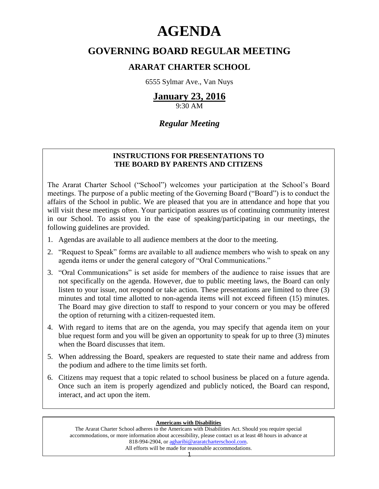# **AGENDA**

# **GOVERNING BOARD REGULAR MEETING**

## **ARARAT CHARTER SCHOOL**

6555 Sylmar Ave., Van Nuys

# **January 23, 2016**

9:30 AM

## *Regular Meeting*

## **INSTRUCTIONS FOR PRESENTATIONS TO THE BOARD BY PARENTS AND CITIZENS**

The Ararat Charter School ("School") welcomes your participation at the School's Board meetings. The purpose of a public meeting of the Governing Board ("Board") is to conduct the affairs of the School in public. We are pleased that you are in attendance and hope that you will visit these meetings often. Your participation assures us of continuing community interest in our School. To assist you in the ease of speaking/participating in our meetings, the following guidelines are provided.

- 1. Agendas are available to all audience members at the door to the meeting.
- 2. "Request to Speak" forms are available to all audience members who wish to speak on any agenda items or under the general category of "Oral Communications."
- 3. "Oral Communications" is set aside for members of the audience to raise issues that are not specifically on the agenda. However, due to public meeting laws, the Board can only listen to your issue, not respond or take action. These presentations are limited to three (3) minutes and total time allotted to non-agenda items will not exceed fifteen (15) minutes. The Board may give direction to staff to respond to your concern or you may be offered the option of returning with a citizen-requested item.
- 4. With regard to items that are on the agenda, you may specify that agenda item on your blue request form and you will be given an opportunity to speak for up to three (3) minutes when the Board discusses that item.
- 5. When addressing the Board, speakers are requested to state their name and address from the podium and adhere to the time limits set forth.
- 6. Citizens may request that a topic related to school business be placed on a future agenda. Once such an item is properly agendized and publicly noticed, the Board can respond, interact, and act upon the item.

#### **Americans with Disabilities**

The Ararat Charter School adheres to the Americans with Disabilities Act. Should you require special accommodations, or more information about accessibility, please contact us at least 48 hours in advance at 818-994-2904, or [agharibi@araratcharterschool.com.](mailto:agharibi@araratcharterschool.com)  All efforts will be made for reasonable accommodations.

1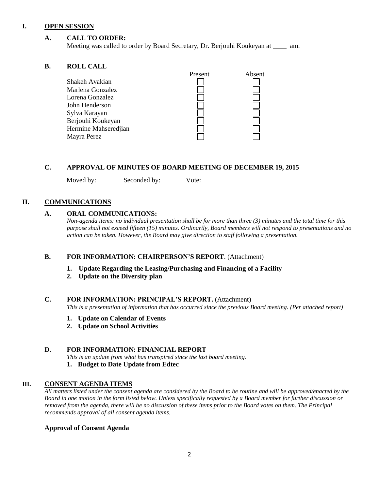#### **I. OPEN SESSION**

#### **A. CALL TO ORDER:**

Meeting was called to order by Board Secretary, Dr. Berjouhi Koukeyan at \_\_\_\_ am.

#### **B. ROLL CALL**

| Absent  |
|---------|
|         |
|         |
|         |
|         |
|         |
|         |
|         |
|         |
| Present |

#### **C. APPROVAL OF MINUTES OF BOARD MEETING OF DECEMBER 19, 2015**

Moved by: Seconded by: Vote:

#### **II. COMMUNICATIONS**

#### **A. ORAL COMMUNICATIONS:**

*Non-agenda items: no individual presentation shall be for more than three (3) minutes and the total time for this purpose shall not exceed fifteen (15) minutes. Ordinarily, Board members will not respond to presentations and no action can be taken. However, the Board may give direction to staff following a presentation.*

#### **B. FOR INFORMATION: CHAIRPERSON'S REPORT**. (Attachment)

#### **1. Update Regarding the Leasing/Purchasing and Financing of a Facility**

 **2. Update on the Diversity plan**

#### **C. FOR INFORMATION: PRINCIPAL'S REPORT.** (Attachment)

*This is a presentation of information that has occurred since the previous Board meeting. (Per attached report)*

- **1. Update on Calendar of Events**
- **2. Update on School Activities**

#### **D. FOR INFORMATION: FINANCIAL REPORT**

*This is an update from what has transpired since the last board meeting.*

#### **1. Budget to Date Update from Edtec**

#### **III. CONSENT AGENDA ITEMS**

*All matters listed under the consent agenda are considered by the Board to be routine and will be approved/enacted by the Board in one motion in the form listed below. Unless specifically requested by a Board member for further discussion or removed from the agenda, there will be no discussion of these items prior to the Board votes on them. The Principal recommends approval of all consent agenda items.*

#### **Approval of Consent Agenda**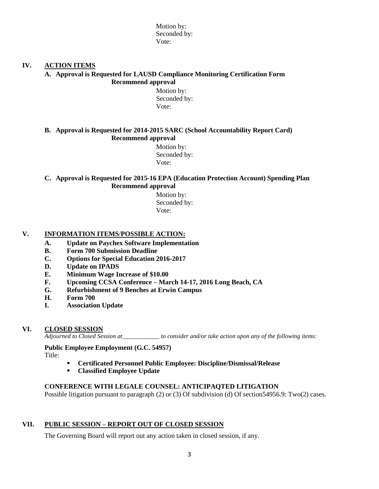Motion by: Seconded by: Vote:

#### **IV. ACTION ITEMS**

#### **A. Approval is Requested for LAUSD Compliance Monitoring Certification Form Recommend approval**

 Motion by: Seconded by: Vote:

#### **B. Approval is Requested for 2014-2015 SARC (School Accountability Report Card) Recommend approval**

 Motion by: Seconded by: Vote:

#### **C. Approval is Requested for 2015-16 EPA (Education Protection Account) Spending Plan Recommend approval**

 Motion by: Seconded by: Vote:

#### **V. INFORMATION ITEMS**/**POSSIBLE ACTION:**

- **A. Update on Paychex Software Implementation**
- **B. Form 700 Submission Deadline**
- **C. Options for Special Education 2016-2017**
- **D. Update on IPADS**
- **E. Minimum Wage Increase of \$10.00**
- **F. Upcoming CCSA Conference – March 14-17, 2016 Long Beach, CA**
- **G. Refurbishment of 9 Benches at Erwin Campus**
- **H. Form 700**
- **I. Association Update**

#### **VI. CLOSED SESSION**

*Adjourned to Closed Session at\_\_\_\_\_\_\_\_\_\_\_\_ to consider and/or take action upon any of the following items:*

#### **Public Employee Employment (G.C. 54957)**

Title:

- **Certificated Personnel Public Employee: Discipline/Dismissal/Release**
- **Classified Employee Update**

#### **CONFERENCE WITH LEGALE COUNSEL: ANTICIPAQTED LITIGATION**

Possible litigation pursuant to paragraph (2) or (3) Of subdivision (d) Of section54956.9: Two(2) cases.

#### **VII. PUBLIC SESSION – REPORT OUT OF CLOSED SESSION**

The Governing Board will report out any action taken in closed session, if any.